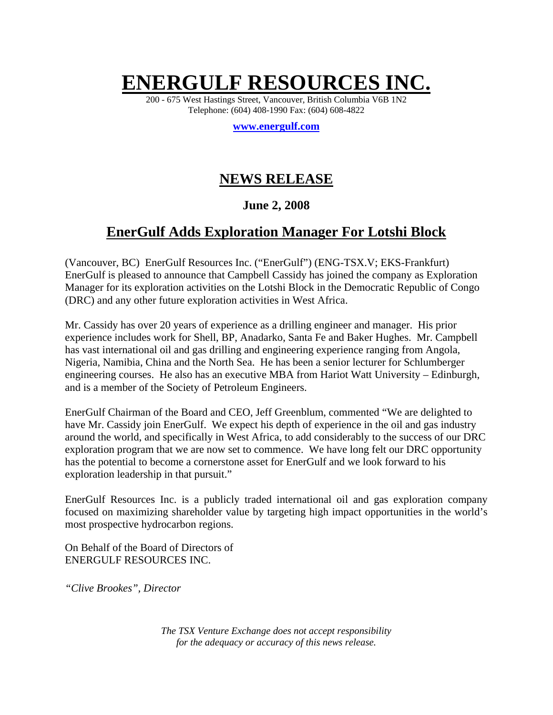# **ENERGULF RESOURCES INC.**

200 - 675 West Hastings Street, Vancouver, British Columbia V6B 1N2 Telephone: (604) 408-1990 Fax: (604) 608-4822

**www.energulf.com**

## **NEWS RELEASE**

### **June 2, 2008**

## **EnerGulf Adds Exploration Manager For Lotshi Block**

(Vancouver, BC) EnerGulf Resources Inc. ("EnerGulf") (ENG-TSX.V; EKS-Frankfurt) EnerGulf is pleased to announce that Campbell Cassidy has joined the company as Exploration Manager for its exploration activities on the Lotshi Block in the Democratic Republic of Congo (DRC) and any other future exploration activities in West Africa.

Mr. Cassidy has over 20 years of experience as a drilling engineer and manager. His prior experience includes work for Shell, BP, Anadarko, Santa Fe and Baker Hughes. Mr. Campbell has vast international oil and gas drilling and engineering experience ranging from Angola, Nigeria, Namibia, China and the North Sea. He has been a senior lecturer for Schlumberger engineering courses. He also has an executive MBA from Hariot Watt University – Edinburgh, and is a member of the Society of Petroleum Engineers.

EnerGulf Chairman of the Board and CEO, Jeff Greenblum, commented "We are delighted to have Mr. Cassidy join EnerGulf. We expect his depth of experience in the oil and gas industry around the world, and specifically in West Africa, to add considerably to the success of our DRC exploration program that we are now set to commence. We have long felt our DRC opportunity has the potential to become a cornerstone asset for EnerGulf and we look forward to his exploration leadership in that pursuit."

EnerGulf Resources Inc. is a publicly traded international oil and gas exploration company focused on maximizing shareholder value by targeting high impact opportunities in the world's most prospective hydrocarbon regions.

On Behalf of the Board of Directors of ENERGULF RESOURCES INC.

*"Clive Brookes", Director*

*The TSX Venture Exchange does not accept responsibility for the adequacy or accuracy of this news release.*